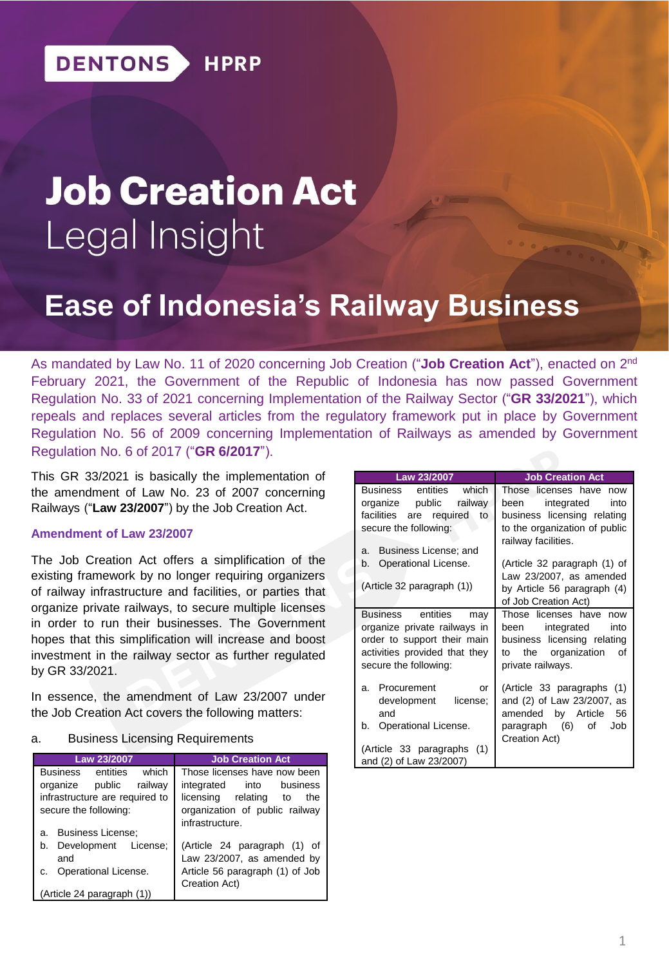# **Job Creation Act** Legal Insight

# **Ease of Indonesia's Railway Business**

As mandated by Law No. 11 of 2020 concerning Job Creation ("**Job Creation Act**"), enacted on 2<sup>nd</sup> February 2021, the Government of the Republic of Indonesia has now passed Government Regulation No. 33 of 2021 concerning Implementation of the Railway Sector ("**GR 33/2021**"), which repeals and replaces several articles from the regulatory framework put in place by Government Regulation No. 56 of 2009 concerning Implementation of Railways as amended by Government Regulation No. 6 of 2017 ("**GR 6/2017**").

This GR 33/2021 is basically the implementation of the amendment of Law No. 23 of 2007 concerning Railways ("**Law 23/2007**") by the Job Creation Act.

#### **Amendment of Law 23/2007**

The Job Creation Act offers a simplification of the existing framework by no longer requiring organizers of railway infrastructure and facilities, or parties that organize private railways, to secure multiple licenses in order to run their businesses. The Government hopes that this simplification will increase and boost investment in the railway sector as further regulated by GR 33/2021.

In essence, the amendment of Law 23/2007 under the Job Creation Act covers the following matters:

#### a. Business Licensing Requirements

| Law 23/2007                          | <b>Job Creation Act</b>         |
|--------------------------------------|---------------------------------|
| which<br><b>Business</b><br>entities | Those licenses have now been    |
| organize<br>railway<br>public        | business<br>integrated<br>into  |
| infrastructure are required to       | licensing relating<br>the<br>to |
| secure the following:                | organization of public railway  |
|                                      | infrastructure.                 |
| <b>Business License:</b><br>a.       |                                 |
| Development<br>License:<br>b.        | (Article 24 paragraph (1) of    |
| and                                  | Law 23/2007, as amended by      |
| Operational License.<br>C.           | Article 56 paragraph (1) of Job |
|                                      | Creation Act)                   |
| (Article 24 paragraph (1))           |                                 |

| Law 23/2007                                                                                                                                       | <b>Job Creation Act</b>                                                                                                                   |  |
|---------------------------------------------------------------------------------------------------------------------------------------------------|-------------------------------------------------------------------------------------------------------------------------------------------|--|
| which<br>Business<br>entities<br>organize public railway<br>facilities are required<br>to<br>secure the following:                                | Those licenses have now<br>integrated<br>into<br>been<br>business licensing relating<br>to the organization of public                     |  |
| Business License; and<br>а.<br>Operational License.<br>b.<br>(Article 32 paragraph (1))                                                           | railway facilities.<br>(Article 32 paragraph (1) of<br>Law 23/2007, as amended<br>by Article 56 paragraph (4)<br>of Job Creation Act)     |  |
| Business entities<br>may<br>organize private railways in<br>order to support their main<br>activities provided that they<br>secure the following: | Those licenses have now<br>integrated<br>into<br>been<br>business licensing relating<br>the organization<br>οf<br>to<br>private railways. |  |
| Procurement<br>a.<br>or<br>development<br>license:<br>and<br>Operational License.<br>b.<br>(Article 33 paragraphs (1)<br>and (2) of Law 23/2007)  | (Article 33 paragraphs (1)<br>and (2) of Law 23/2007, as<br>amended by Article 56<br>paragraph (6)<br>of<br>Job<br>Creation Act)          |  |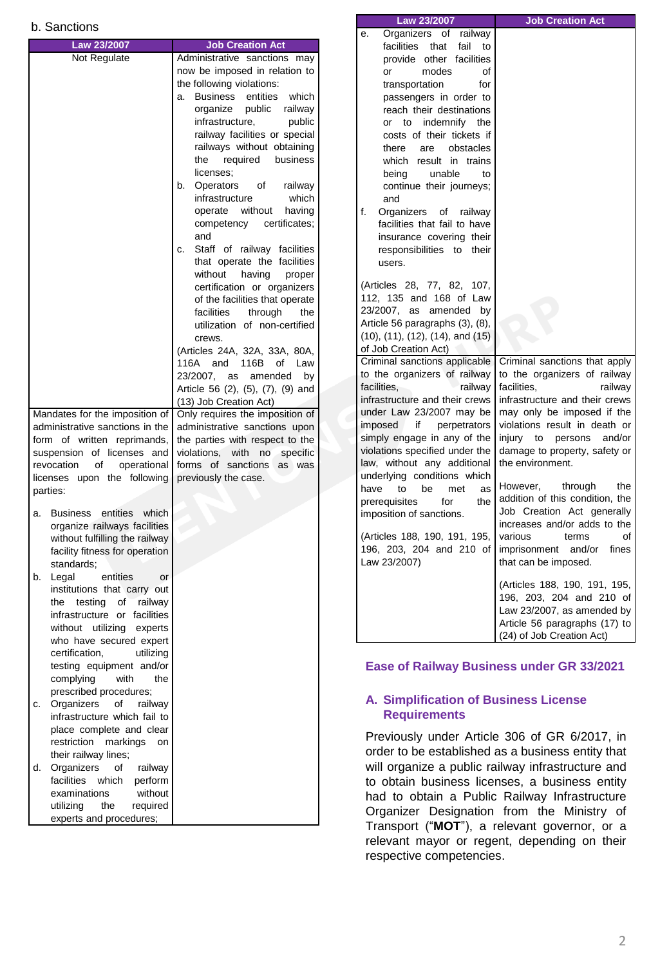| b. Sanctions                         |                                                                  | Law 23/2007                                    | <b>Job Creation Act</b>                           |
|--------------------------------------|------------------------------------------------------------------|------------------------------------------------|---------------------------------------------------|
|                                      |                                                                  | Organizers of railway<br>е.                    |                                                   |
| Law 23/2007                          | <b>Job Creation Act</b>                                          | facilities that fail to                        |                                                   |
| Not Regulate                         | Administrative sanctions may                                     | provide other facilities                       |                                                   |
|                                      | now be imposed in relation to                                    | or<br>modes<br>οf                              |                                                   |
|                                      | the following violations:                                        | transportation<br>for                          |                                                   |
|                                      | a. Business entities<br>which                                    | passengers in order to                         |                                                   |
|                                      | public<br>organize<br>railway                                    | reach their destinations                       |                                                   |
|                                      | infrastructure,<br>public                                        | or to indemnify the                            |                                                   |
|                                      | railway facilities or special                                    | costs of their tickets if                      |                                                   |
|                                      | railways without obtaining                                       | obstacles<br>there<br>are                      |                                                   |
|                                      | the required<br>business                                         | which result in trains                         |                                                   |
|                                      | licenses;                                                        | being<br>unable<br>to                          |                                                   |
|                                      | <b>Operators</b><br>οf<br>railway<br>b.                          | continue their journeys;                       |                                                   |
|                                      | infrastructure<br>which<br>operate without<br>having             | and                                            |                                                   |
|                                      |                                                                  | f.<br>Organizers of railway                    |                                                   |
|                                      | competency<br>certificates;<br>and                               | facilities that fail to have                   |                                                   |
|                                      |                                                                  | insurance covering their                       |                                                   |
|                                      | Staff of railway facilities<br>c.<br>that operate the facilities | responsibilities to their                      |                                                   |
|                                      | having                                                           | users.                                         |                                                   |
|                                      | without<br>proper<br>certification or organizers                 | (Articles 28, 77, 82, 107,                     |                                                   |
|                                      |                                                                  | 112, 135 and 168 of Law                        |                                                   |
|                                      | of the facilities that operate                                   | 23/2007, as amended by                         |                                                   |
|                                      | facilities<br>through<br>the<br>utilization of non-certified     | Article 56 paragraphs (3), (8),                |                                                   |
|                                      | crews.                                                           | $(10)$ , $(11)$ , $(12)$ , $(14)$ , and $(15)$ |                                                   |
|                                      |                                                                  | of Job Creation Act)                           |                                                   |
|                                      | (Articles 24A, 32A, 33A, 80A,                                    | Criminal sanctions applicable                  | Criminal sanctions that apply                     |
|                                      | 116A and 116B of Law<br>23/2007, as amended                      | to the organizers of railway                   | to the organizers of railway                      |
|                                      | by                                                               | facilities,<br>railway                         | facilities,<br>railway                            |
|                                      | Article 56 (2), (5), (7), (9) and                                | infrastructure and their crews                 | infrastructure and their crews                    |
| Mandates for the imposition of       | (13) Job Creation Act)                                           | under Law 23/2007 may be                       | may only be imposed if the                        |
|                                      | Only requires the imposition of                                  | if<br>imposed<br>perpetrators                  | violations result in death or                     |
| administrative sanctions in the      | administrative sanctions upon                                    | simply engage in any of the                    | injury to persons and/or                          |
| form of written reprimands,          | the parties with respect to the                                  | violations specified under the                 | damage to property, safety or                     |
| suspension of licenses and           | violations, with no specific<br>forms of sanctions as was        | law, without any additional                    | the environment.                                  |
| revocation<br>of<br>operational      |                                                                  | underlying conditions which                    |                                                   |
| licenses upon the following          | previously the case.                                             | have<br>to<br>be<br>met<br>as                  | through<br>However,<br>the                        |
| parties:                             |                                                                  | the<br>prerequisites<br>for                    | addition of this condition, the                   |
| a. Business entities which           |                                                                  | imposition of sanctions.                       | Job Creation Act generally                        |
| organize railways facilities         |                                                                  |                                                | increases and/or adds to the                      |
| without fulfilling the railway       |                                                                  | (Articles 188, 190, 191, 195,                  | various<br>of<br>terms                            |
| facility fitness for operation       |                                                                  | 196, 203, 204 and 210 of                       | imprisonment and/or fines                         |
| standards;                           |                                                                  | Law 23/2007)                                   | that can be imposed.                              |
| entities<br>b. Legal<br>or           |                                                                  |                                                |                                                   |
| institutions that carry out          |                                                                  |                                                | (Articles 188, 190, 191, 195,                     |
| the testing of railway               |                                                                  |                                                | 196, 203, 204 and 210 of                          |
| infrastructure or facilities         |                                                                  |                                                | Law 23/2007, as amended by                        |
| without utilizing experts            |                                                                  |                                                | Article 56 paragraphs (17) to                     |
| who have secured expert              |                                                                  |                                                | (24) of Job Creation Act)                         |
| certification,<br>utilizing          |                                                                  |                                                |                                                   |
| testing equipment and/or             |                                                                  |                                                | Ease of Railway Business under GR 33/2021         |
| complying<br>with<br>the             |                                                                  |                                                |                                                   |
| prescribed procedures;               |                                                                  |                                                |                                                   |
| Organizers<br>of<br>railway<br>C.    |                                                                  | A. Simplification of Business License          |                                                   |
| infrastructure which fail to         |                                                                  | <b>Requirements</b>                            |                                                   |
| place complete and clear             |                                                                  |                                                |                                                   |
| restriction markings on              |                                                                  |                                                | Previously under Article 306 of GR 6/2017, in     |
| their railway lines;                 |                                                                  |                                                | order to be established as a business entity that |
| Organizers<br>railway<br>d.<br>οf    |                                                                  |                                                | will organize a public railway infrastructure and |
| facilities which<br>perform          |                                                                  |                                                |                                                   |
| without<br>examinations              |                                                                  |                                                | to obtain business licenses, a business entity    |
| required<br>the                      |                                                                  |                                                | had to obtain a Public Railway Infrastructure     |
| utilizing<br>experts and procedures; |                                                                  |                                                | Organizer Designation from the Ministry of        |
|                                      |                                                                  |                                                | Transport ("MOT"), a relevant governor, or a      |

relevant mayor or regent, depending on their

respective competencies.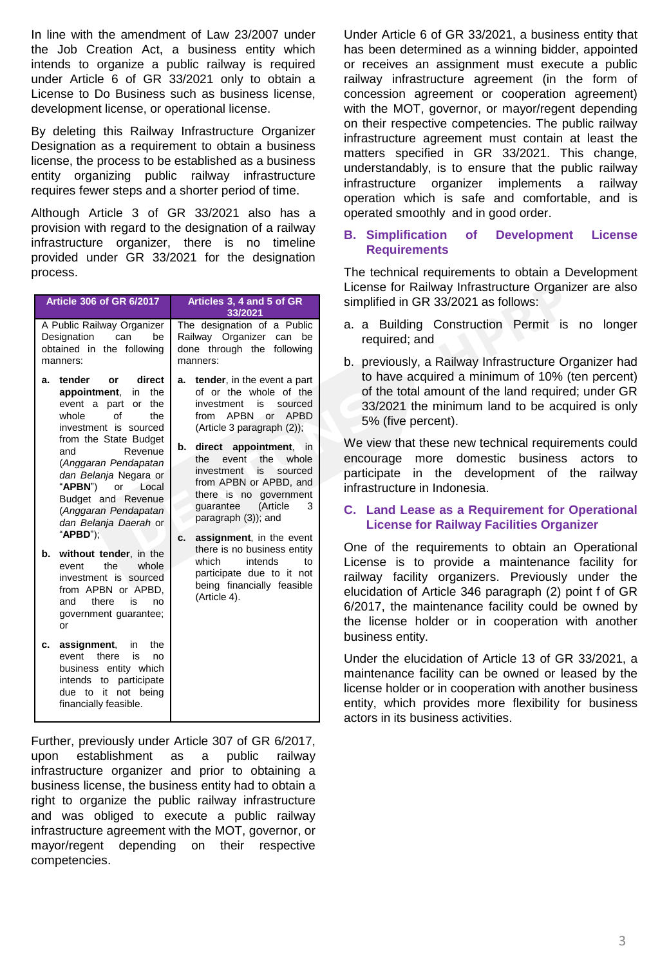In line with the amendment of Law 23/2007 under the Job Creation Act, a business entity which intends to organize a public railway is required under Article 6 of GR 33/2021 only to obtain a License to Do Business such as business license, development license, or operational license.

By deleting this Railway Infrastructure Organizer Designation as a requirement to obtain a business license, the process to be established as a business entity organizing public railway infrastructure requires fewer steps and a shorter period of time.

Although Article 3 of GR 33/2021 also has a provision with regard to the designation of a railway infrastructure organizer, there is no timeline provided under GR 33/2021 for the designation process.

| <b>Article 306 of GR 6/2017</b>                                                                                                                                                                                                                                                                                                             | Articles 3, 4 and 5 of GR<br>33/2021                                                                                                                                                                                                                                                                                                                   |
|---------------------------------------------------------------------------------------------------------------------------------------------------------------------------------------------------------------------------------------------------------------------------------------------------------------------------------------------|--------------------------------------------------------------------------------------------------------------------------------------------------------------------------------------------------------------------------------------------------------------------------------------------------------------------------------------------------------|
| A Public Railway Organizer<br>Designation<br>can<br>be<br>obtained in the following<br>manners:                                                                                                                                                                                                                                             | The designation of a Public<br>Railway Organizer<br>can<br>be<br>done through the<br>following<br>manners:                                                                                                                                                                                                                                             |
| tender<br>direct<br>or<br>a.<br>appointment,<br>in<br>the<br>event a part<br>the<br>or<br>whole<br>of<br>the<br>investment is sourced<br>from the State Budget<br>Revenue<br>and<br>(Anggaran Pendapatan<br>dan Belanja Negara or<br>"APBN")<br>or Local<br>Budget and Revenue<br>(Anggaran Pendapatan<br>dan Belanja Daerah or<br>"APBD"); | tender, in the event a part<br>a.<br>of or the whole of the<br>investment<br>is<br>sourced<br>from APBN<br>or APBD<br>(Article 3 paragraph (2));<br>direct appointment, in<br>b.<br>event the<br>the<br>whole<br>is.<br>investment<br>sourced<br>from APBN or APBD, and<br>there is no government<br>(Article<br>guarantee<br>3<br>paragraph (3)); and |
| without tender, in the<br>b.<br>the<br>whole<br>event<br>investment is sourced<br>from APBN or APBD,<br>there<br>and<br>is<br>no<br>government guarantee;<br>or                                                                                                                                                                             | assignment, in the event<br>c.<br>there is no business entity<br>which<br>intends<br>to<br>participate due to it not<br>being financially feasible<br>(Article 4).                                                                                                                                                                                     |
| assignment,<br>in<br>the<br>c.<br>there<br>is<br>event<br>no<br>business entity which<br>intends to participate<br>not being<br>due to it<br>financially feasible.                                                                                                                                                                          |                                                                                                                                                                                                                                                                                                                                                        |

Further, previously under Article 307 of GR 6/2017, upon establishment as a public railway infrastructure organizer and prior to obtaining a business license, the business entity had to obtain a right to organize the public railway infrastructure and was obliged to execute a public railway infrastructure agreement with the MOT, governor, or mayor/regent depending on their respective competencies.

Under Article 6 of GR 33/2021, a business entity that has been determined as a winning bidder, appointed or receives an assignment must execute a public railway infrastructure agreement (in the form of concession agreement or cooperation agreement) with the MOT, governor, or mayor/regent depending on their respective competencies. The public railway infrastructure agreement must contain at least the matters specified in GR 33/2021. This change, understandably, is to ensure that the public railway infrastructure organizer implements a railway operation which is safe and comfortable, and is operated smoothly and in good order.

#### **B. Simplification of Development License Requirements**

The technical requirements to obtain a Development License for Railway Infrastructure Organizer are also simplified in GR 33/2021 as follows:

- a. a Building Construction Permit is no longer required; and
- b. previously, a Railway Infrastructure Organizer had to have acquired a minimum of 10% (ten percent) of the total amount of the land required; under GR 33/2021 the minimum land to be acquired is only 5% (five percent).

We view that these new technical requirements could encourage more domestic business actors to participate in the development of the railway infrastructure in Indonesia.

#### **C. Land Lease as a Requirement for Operational License for Railway Facilities Organizer**

One of the requirements to obtain an Operational License is to provide a maintenance facility for railway facility organizers. Previously under the elucidation of Article 346 paragraph (2) point f of GR 6/2017, the maintenance facility could be owned by the license holder or in cooperation with another business entity.

Under the elucidation of Article 13 of GR 33/2021, a maintenance facility can be owned or leased by the license holder or in cooperation with another business entity, which provides more flexibility for business actors in its business activities.